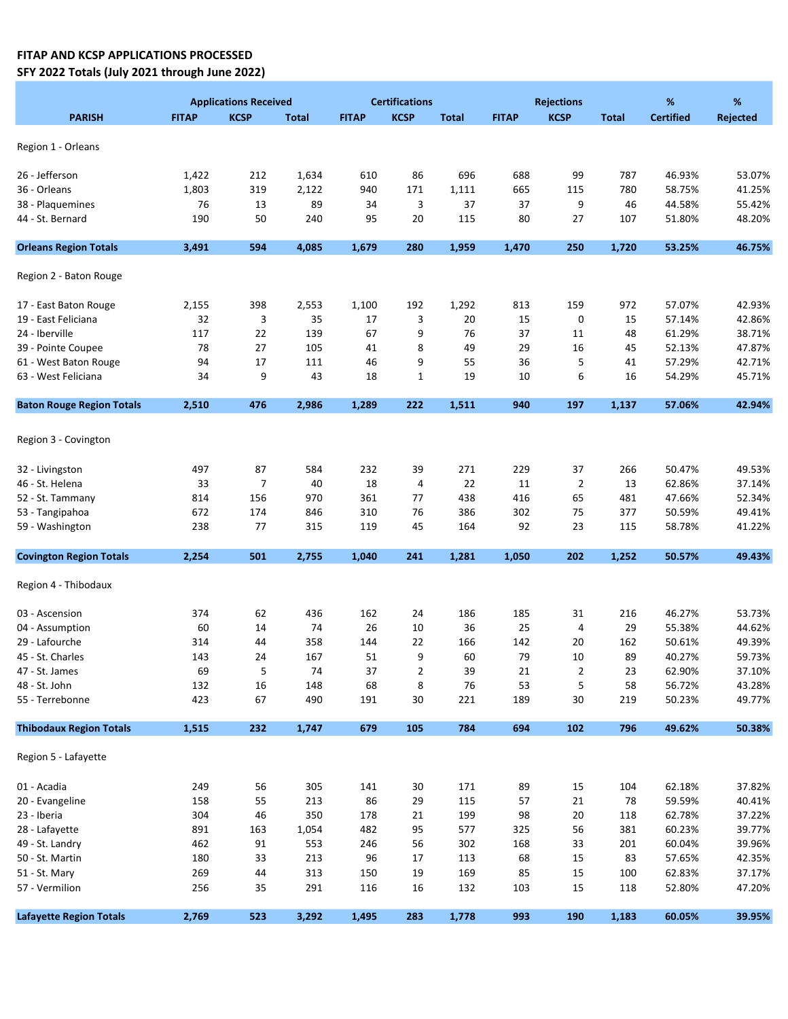## FITAP AND KCSP APPLICATIONS PROCESSED SFY 2022 Totals (July 2021 through June 2022)

|                                  | <b>Applications Received</b> |             |              | <b>Certifications</b> |              |              | <b>Rejections</b> |                     |              | $\%$             | %        |  |
|----------------------------------|------------------------------|-------------|--------------|-----------------------|--------------|--------------|-------------------|---------------------|--------------|------------------|----------|--|
| <b>PARISH</b>                    | <b>FITAP</b>                 | <b>KCSP</b> | <b>Total</b> | <b>FITAP</b>          | <b>KCSP</b>  | <b>Total</b> | <b>FITAP</b>      | <b>KCSP</b>         | <b>Total</b> | <b>Certified</b> | Rejected |  |
| Region 1 - Orleans               |                              |             |              |                       |              |              |                   |                     |              |                  |          |  |
|                                  |                              |             |              |                       |              |              |                   |                     |              |                  |          |  |
| 26 - Jefferson                   | 1,422                        | 212         | 1,634        | 610                   | 86           | 696          | 688               | 99                  | 787          | 46.93%           | 53.07%   |  |
| 36 - Orleans                     | 1,803                        | 319         | 2,122        | 940                   | 171          | 1,111        | 665               | 115                 | 780          | 58.75%           | 41.25%   |  |
| 38 - Plaquemines                 | 76                           | 13          | 89           | 34                    | 3            | 37           | 37                | 9                   | 46           | 44.58%           | 55.42%   |  |
| 44 - St. Bernard                 | 190                          | 50          | 240          | 95                    | 20           | 115          | 80                | 27                  | 107          | 51.80%           | 48.20%   |  |
| <b>Orleans Region Totals</b>     | 3,491                        | 594         | 4,085        | 1,679                 | 280          | 1,959        | 1,470             | 250                 | 1,720        | 53.25%           | 46.75%   |  |
| Region 2 - Baton Rouge           |                              |             |              |                       |              |              |                   |                     |              |                  |          |  |
| 17 - East Baton Rouge            | 2,155                        | 398         | 2,553        | 1,100                 | 192          | 1,292        | 813               | 159                 | 972          | 57.07%           | 42.93%   |  |
| 19 - East Feliciana              | 32                           | 3           | 35           | 17                    | 3            | 20           | 15                | 0                   | 15           | 57.14%           | 42.86%   |  |
| 24 - Iberville                   | 117                          | 22          | 139          | 67                    | 9            | 76           | 37                | 11                  | 48           | 61.29%           | 38.71%   |  |
| 39 - Pointe Coupee               | 78                           | 27          | 105          | 41                    | 8            | 49           | 29                | 16                  | 45           | 52.13%           | 47.87%   |  |
| 61 - West Baton Rouge            | 94                           | 17          | 111          | 46                    | 9            | 55           | 36                | 5                   | 41           | 57.29%           | 42.71%   |  |
| 63 - West Feliciana              | 34                           | 9           | 43           | 18                    | $\mathbf{1}$ | 19           | 10                | 6                   | 16           | 54.29%           | 45.71%   |  |
| <b>Baton Rouge Region Totals</b> | 2,510                        | 476         | 2,986        | 1,289                 | 222          | 1,511        | 940               | 197                 | 1,137        | 57.06%           | 42.94%   |  |
|                                  |                              |             |              |                       |              |              |                   |                     |              |                  |          |  |
| Region 3 - Covington             |                              |             |              |                       |              |              |                   |                     |              |                  |          |  |
| 32 - Livingston                  | 497                          | 87          | 584          | 232                   | 39           | 271          | 229               | 37                  | 266          | 50.47%           | 49.53%   |  |
| 46 - St. Helena                  | 33                           | 7           | 40           | 18                    | 4            | 22           | 11                | $\overline{2}$      | 13           | 62.86%           | 37.14%   |  |
| 52 - St. Tammany                 | 814                          | 156         | 970          | 361                   | 77           | 438          | 416               | 65                  | 481          | 47.66%           | 52.34%   |  |
| 53 - Tangipahoa                  | 672                          | 174         | 846          | 310                   | 76           | 386          | 302               | 75                  | 377          | 50.59%           | 49.41%   |  |
| 59 - Washington                  | 238                          | 77          | 315          | 119                   | 45           | 164          | 92                | 23                  | 115          | 58.78%           | 41.22%   |  |
| <b>Covington Region Totals</b>   | 2,254                        | 501         | 2,755        | 1,040                 | 241          | 1,281        | 1,050             | 202                 | 1,252        | 50.57%           | 49.43%   |  |
| Region 4 - Thibodaux             |                              |             |              |                       |              |              |                   |                     |              |                  |          |  |
| 03 - Ascension                   | 374                          | 62          | 436          | 162                   | 24           | 186          | 185               | 31                  | 216          | 46.27%           | 53.73%   |  |
| 04 - Assumption                  | 60                           | 14          | 74           | 26                    | 10           | 36           | 25                | 4                   | 29           | 55.38%           | 44.62%   |  |
| 29 - Lafourche                   | 314                          | 44          | 358          | 144                   | 22           | 166          | 142               | 20                  | 162          | 50.61%           | 49.39%   |  |
| 45 - St. Charles                 | 143                          | 24          | 167          | 51                    | 9            | 60           | 79                | 10                  | 89           | 40.27%           | 59.73%   |  |
| 47 - St. James                   | 69                           | 5           | 74           | 37                    |              | 39           | 21                |                     | 23           | 62.90%           | 37.10%   |  |
| 48 - St. John                    | 132                          | $16\,$      | 148          | 68                    | 2<br>8       | 76           | 53                | $\overline{c}$<br>5 | 58           | 56.72%           | 43.28%   |  |
| 55 - Terrebonne                  | 423                          | 67          | 490          | 191                   | 30           | 221          | 189               | $30\,$              | 219          | 50.23%           | 49.77%   |  |
| <b>Thibodaux Region Totals</b>   | 1,515                        | 232         | 1,747        | 679                   | 105          | 784          | 694               | 102                 | 796          | 49.62%           | 50.38%   |  |
| Region 5 - Lafayette             |                              |             |              |                       |              |              |                   |                     |              |                  |          |  |
| 01 - Acadia                      | 249                          | 56          | 305          | 141                   | 30           | 171          | 89                | 15                  | 104          | 62.18%           | 37.82%   |  |
| 20 - Evangeline                  | 158                          | 55          | 213          | 86                    | 29           | 115          | 57                | 21                  | 78           | 59.59%           | 40.41%   |  |
| 23 - Iberia                      | 304                          | 46          | 350          | 178                   | 21           | 199          | 98                | $20\,$              | 118          | 62.78%           | 37.22%   |  |
| 28 - Lafayette                   | 891                          | 163         | 1,054        | 482                   | 95           | 577          | 325               | 56                  | 381          | 60.23%           | 39.77%   |  |
| 49 - St. Landry                  | 462                          | 91          | 553          | 246                   | 56           | 302          | 168               | 33                  | 201          | 60.04%           | 39.96%   |  |
| 50 - St. Martin                  | 180                          | 33          | 213          | 96                    | 17           | 113          | 68                | 15                  | 83           | 57.65%           | 42.35%   |  |
| 51 - St. Mary                    | 269                          | 44          | 313          | 150                   | 19           | 169          | 85                | 15                  | 100          | 62.83%           | 37.17%   |  |
| 57 - Vermilion                   | 256                          | 35          | 291          | 116                   | 16           | 132          | 103               | 15                  | 118          | 52.80%           | 47.20%   |  |
|                                  |                              |             |              |                       |              |              |                   |                     |              |                  |          |  |
| <b>Lafayette Region Totals</b>   | 2,769                        | 523         | 3,292        | 1,495                 | 283          | 1,778        | 993               | 190                 | 1,183        | 60.05%           | 39.95%   |  |